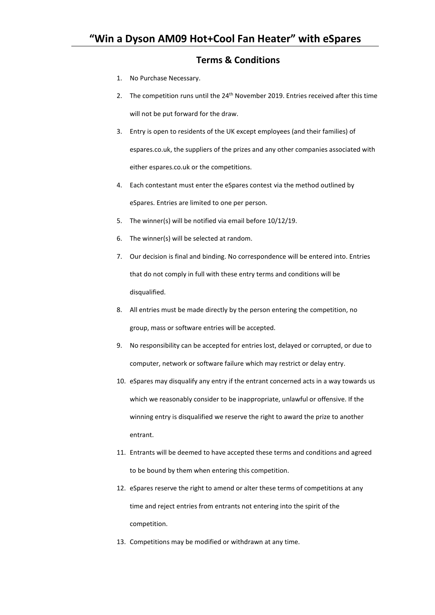## **Terms & Conditions**

- 1. No Purchase Necessary.
- 2. The competition runs until the  $24<sup>th</sup>$  November 2019. Entries received after this time will not be put forward for the draw.
- 3. Entry is open to residents of the UK except employees (and their families) of espares.co.uk, the suppliers of the prizes and any other companies associated with either espares.co.uk or the competitions.
- 4. Each contestant must enter the eSpares contest via the method outlined by eSpares. Entries are limited to one per person.
- 5. The winner(s) will be notified via email before 10/12/19.
- 6. The winner(s) will be selected at random.
- 7. Our decision is final and binding. No correspondence will be entered into. Entries that do not comply in full with these entry terms and conditions will be disqualified.
- 8. All entries must be made directly by the person entering the competition, no group, mass or software entries will be accepted.
- 9. No responsibility can be accepted for entries lost, delayed or corrupted, or due to computer, network or software failure which may restrict or delay entry.
- 10. eSpares may disqualify any entry if the entrant concerned acts in a way towards us which we reasonably consider to be inappropriate, unlawful or offensive. If the winning entry is disqualified we reserve the right to award the prize to another entrant.
- 11. Entrants will be deemed to have accepted these terms and conditions and agreed to be bound by them when entering this competition.
- 12. eSpares reserve the right to amend or alter these terms of competitions at any time and reject entries from entrants not entering into the spirit of the competition.
- 13. Competitions may be modified or withdrawn at any time.